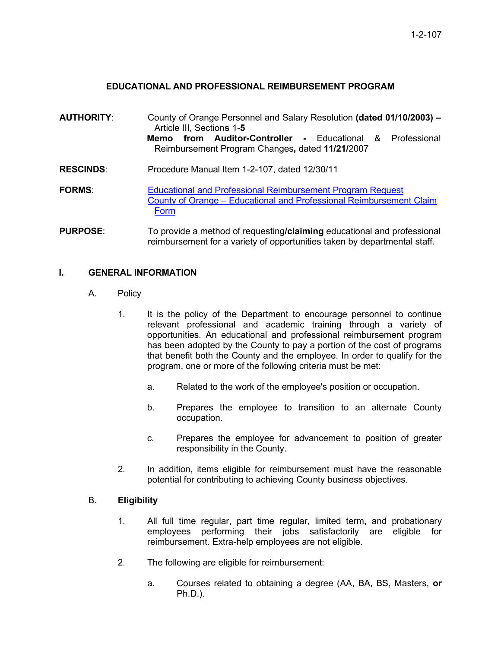## **EDUCATIONAL AND PROFESSIONAL REIMBURSEMENT PROGRAM**

- **AUTHORITY**: County of Orange Personnel and Salary Resolution **(dated 01/10/2003) –** Article III, Section**s** 1**-5 Memo from Auditor-Controller -** Educational & Professional Reimbursement Program Changes**,** dated **11/21/**2007 **RESCINDS**: Procedure Manual Item 1-2-107, dated 12/30/11 **FORMS:** Educational and Professional Reimbursement Program Request County of Orange – Educational and Professional Reimbursement Claim Form
- **PURPOSE**: To provide a method of requesting**/claiming** educational and professional reimbursement for a variety of opportunities taken by departmental staff.

#### **I. GENERAL INFORMATION**

- A. Policy
	- 1. It is the policy of the Department to encourage personnel to continue relevant professional and academic training through a variety of opportunities. An educational and professional reimbursement program has been adopted by the County to pay a portion of the cost of programs that benefit both the County and the employee. In order to qualify for the program, one or more of the following criteria must be met:
		- a. Related to the work of the employee's position or occupation.
		- b. Prepares the employee to transition to an alternate County occupation.
		- c. Prepares the employee for advancement to position of greater responsibility in the County.
	- 2. In addition, items eligible for reimbursement must have the reasonable potential for contributing to achieving County business objectives.

#### B. **Eligibility**

- 1. All full time regular, part time regular, limited term**,** and probationary employees performing their jobs satisfactorily are eligible for reimbursement. Extra-help employees are not eligible.
- 2. The following are eligible for reimbursement:
	- a. Courses related to obtaining a degree (AA, BA, BS, Masters, **or** Ph.D.).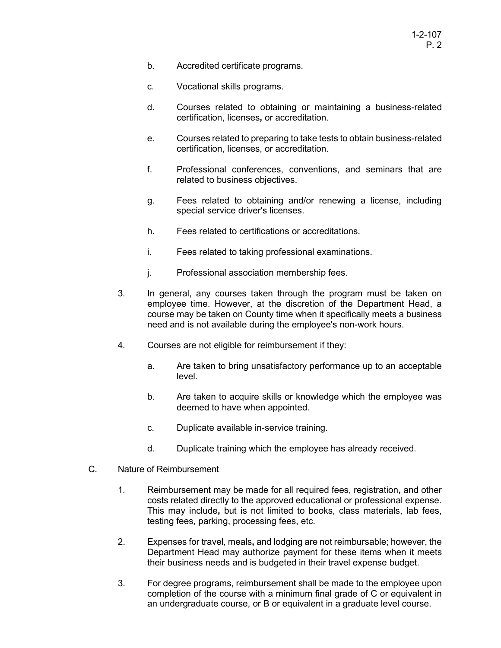- b. Accredited certificate programs.
- c. Vocational skills programs.
- d. Courses related to obtaining or maintaining a business-related certification, licenses**,** or accreditation.
- e. Courses related to preparing to take tests to obtain business-related certification, licenses, or accreditation.
- f. Professional conferences, conventions, and seminars that are related to business objectives.
- g. Fees related to obtaining and/or renewing a license, including special service driver's licenses.
- h. Fees related to certifications or accreditations.
- i. Fees related to taking professional examinations.
- j. Professional association membership fees.
- 3. In general, any courses taken through the program must be taken on employee time. However, at the discretion of the Department Head, a course may be taken on County time when it specifically meets a business need and is not available during the employee's non-work hours.
- 4. Courses are not eligible for reimbursement if they:
	- a. Are taken to bring unsatisfactory performance up to an acceptable level.
	- b. Are taken to acquire skills or knowledge which the employee was deemed to have when appointed.
	- c. Duplicate available in-service training.
	- d. Duplicate training which the employee has already received.
- C. Nature of Reimbursement
	- 1. Reimbursement may be made for all required fees, registration**,** and other costs related directly to the approved educational or professional expense. This may include**,** but is not limited to books, class materials, lab fees, testing fees, parking, processing fees, etc.
	- 2. Expenses for travel, meals**,** and lodging are not reimbursable; however, the Department Head may authorize payment for these items when it meets their business needs and is budgeted in their travel expense budget.
	- 3. For degree programs, reimbursement shall be made to the employee upon completion of the course with a minimum final grade of C or equivalent in an undergraduate course, or B or equivalent in a graduate level course.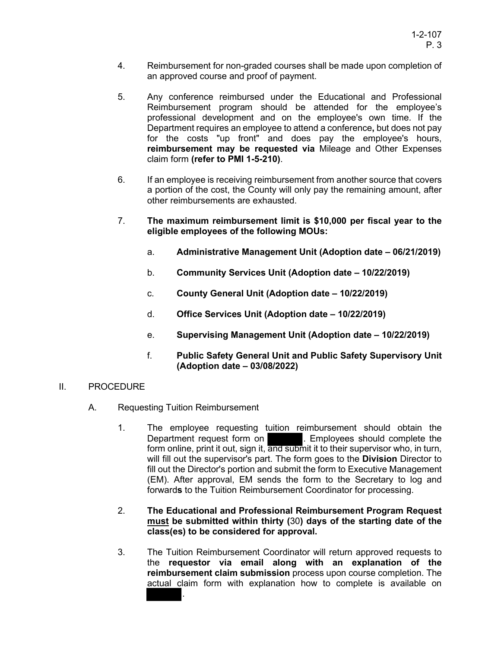- 4. Reimbursement for non-graded courses shall be made upon completion of an approved course and proof of payment.
- 5. Any conference reimbursed under the Educational and Professional Reimbursement program should be attended for the employee's professional development and on the employee's own time. If the Department requires an employee to attend a conference**,** but does not pay for the costs "up front" and does pay the employee's hours, **reimbursement may be requested via** Mileage and Other Expenses claim form **(refer to PMI 1-5-210)**.
- 6. If an employee is receiving reimbursement from another source that covers a portion of the cost, the County will only pay the remaining amount, after other reimbursements are exhausted.
- 7. **The maximum reimbursement limit is \$10,000 per fiscal year to the eligible employees of the following MOUs:**
	- a. **Administrative Management Unit (Adoption date 06/21/2019)**
	- b. **Community Services Unit (Adoption date 10/22/2019)**
	- c. **County General Unit (Adoption date 10/22/2019)**
	- d. **Office Services Unit (Adoption date 10/22/2019)**
	- e. **Supervising Management Unit (Adoption date 10/22/2019)**
	- f. **Public Safety General Unit and Public Safety Supervisory Unit (Adoption date – 03/08/2022)**

#### II. PROCEDURE

- A. Requesting Tuition Reimbursement
	- 1. The employee requesting tuition reimbursement should obtain the Department request form on . Employees should complete the form online, print it out, sign it, and submit it to their supervisor who, in turn, will fill out the supervisor's part. The form goes to the **Division** Director to fill out the Director's portion and submit the form to Executive Management (EM). After approval, EM sends the form to the Secretary to log and forward**s** to the Tuition Reimbursement Coordinator for processing.
	- 2. **The Educational and Professional Reimbursement Program Request must be submitted within thirty (**30**) days of the starting date of the class(es) to be considered for approval.**
	- 3. The Tuition Reimbursement Coordinator will return approved requests to the **requestor via email along with an explanation of the reimbursement claim submission** process upon course completion. The actual claim form with explanation how to complete is available on .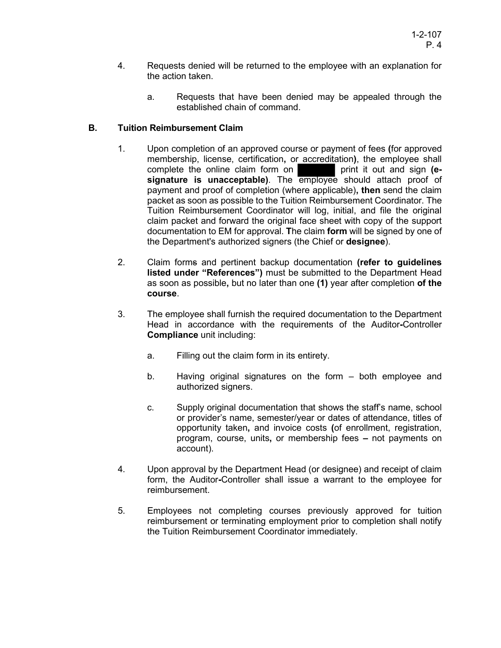- 4. Requests denied will be returned to the employee with an explanation for the action taken.
	- a. Requests that have been denied may be appealed through the established chain of command.

# **B. Tuition Reimbursement Claim**

- 1. Upon completion of an approved course or payment of fees **(**for approved membership, license, certification, or accreditation), the employee shall complete the online claim form on **property** print it out and sign (ecomplete the online claim form on **signature is unacceptable)**. The employee should attach proof of payment and proof of completion (where applicable)**, then** send the claim packet as soon as possible to the Tuition Reimbursement Coordinator. The Tuition Reimbursement Coordinator will log, initial, and file the original claim packet and forward the original face sheet with copy of the support documentation to EM for approval. **T**he claim **form** will be signed by one of the Department's authorized signers (the Chief or **designee**).
- 2. Claim forms and pertinent backup documentation **(refer to guidelines listed under "References")** must be submitted to the Department Head as soon as possible**,** but no later than one **(1)** year after completion **of the course**.
- 3. The employee shall furnish the required documentation to the Department Head in accordance with the requirements of the Auditor**-**Controller **Compliance** unit including:
	- a. Filling out the claim form in its entirety.
	- b. Having original signatures on the form both employee and authorized signers.
	- c. Supply original documentation that shows the staff's name, school or provider's name, semester/year or dates of attendance, titles of opportunity taken**,** and invoice costs **(**of enrollment, registration, program, course, units**,** or membership fees **–** not payments on account).
- 4. Upon approval by the Department Head (or designee) and receipt of claim form, the Auditor**-**Controller shall issue a warrant to the employee for reimbursement.
- 5. Employees not completing courses previously approved for tuition reimbursement or terminating employment prior to completion shall notify the Tuition Reimbursement Coordinator immediately.